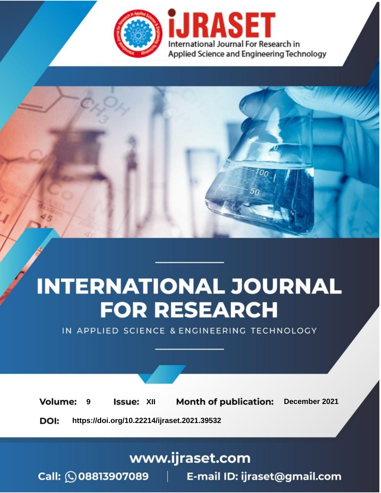

# **INTERNATIONAL JOURNAL FOR RESEARCH**

IN APPLIED SCIENCE & ENGINEERING TECHNOLOGY

**Month of publication: Volume: Issue: XII** December 2021 9 DOI: https://doi.org/10.22214/ijraset.2021.39532

www.ijraset.com

Call: 008813907089 | E-mail ID: ijraset@gmail.com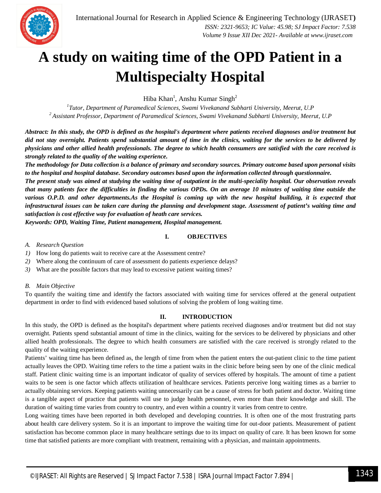

### **A study on waiting time of the OPD Patient in a Multispecialty Hospital**

Hiba Khan<sup>1</sup>, Anshu Kumar Singh<sup>2</sup>

*1 Tutor, Department of Paramedical Sciences, Swami Vivekanand Subharti University, Meerut, U.P <sup>2</sup> Assistant Professor, Department of Paramedical Sciences, Swami Vivekanand Subharti University, Meerut, U.P*

*Abstract: In this study, the OPD is defined as the hospital's department where patients received diagnoses and/or treatment but did not stay overnight. Patients spend substantial amount of time in the clinics, waiting for the services to be delivered by physicians and other allied health professionals. The degree to which health consumers are satisfied with the care received is strongly related to the quality of the waiting experience.*

*The methodology for Data collection is a balance of primary and secondary sources. Primary outcome based upon personal visits to the hospital and hospital database. Secondary outcomes based upon the information collected through questionnaire.*

*The present study was aimed at studying the waiting time of outpatient in the multi-speciality hospital. Our observation reveals that many patients face the difficulties in finding the various OPDs. On an average 10 minutes of waiting time outside the*  various O.P.D. and other departments.As the Hospital is coming up with the new hospital building, it is expected that *infrastructural issues can be taken care during the planning and development stage. Assessment of patient's waiting time and satisfaction is cost effective way for evaluation of heath care services.*

*Keywords: OPD, Waiting Time, Patient management, Hospital management.*

#### **I. OBJECTIVES**

#### *A. Research Question*

- *1)* How long do patients wait to receive care at the Assessment centre?
- *2)* Where along the continuum of care of assessment do patients experience delays?
- *3)* What are the possible factors that may lead to excessive patient waiting times?

#### *B. Main Objective*

To quantify the waiting time and identify the factors associated with waiting time for services offered at the general outpatient department in order to find with evidenced based solutions of solving the problem of long waiting time.

#### **II. INTRODUCTION**

In this study, the OPD is defined as the hospital's department where patients received diagnoses and/or treatment but did not stay overnight. Patients spend substantial amount of time in the clinics, waiting for the services to be delivered by physicians and other allied health professionals. The degree to which health consumers are satisfied with the care received is strongly related to the quality of the waiting experience.

Patients' waiting time has been defined as, the length of time from when the patient enters the out-patient clinic to the time patient actually leaves the OPD. Waiting time refers to the time a patient waits in the clinic before being seen by one of the clinic medical staff. Patient clinic waiting time is an important indicator of quality of services offered by hospitals. The amount of time a patient waits to be seen is one factor which affects utilization of healthcare services. Patients perceive long waiting times as a barrier to actually obtaining services. Keeping patients waiting unnecessarily can be a cause of stress for both patient and doctor. Waiting time is a tangible aspect of practice that patients will use to judge health personnel, even more than their knowledge and skill. The duration of waiting time varies from country to country, and even within a country it varies from centre to centre.

Long waiting times have been reported in both developed and developing countries. It is often one of the most frustrating parts about health care delivery system. So it is an important to improve the waiting time for out-door patients. Measurement of patient satisfaction has become common place in many healthcare settings due to its impact on quality of care. It has been known for some time that satisfied patients are more compliant with treatment, remaining with a physician, and maintain appointments.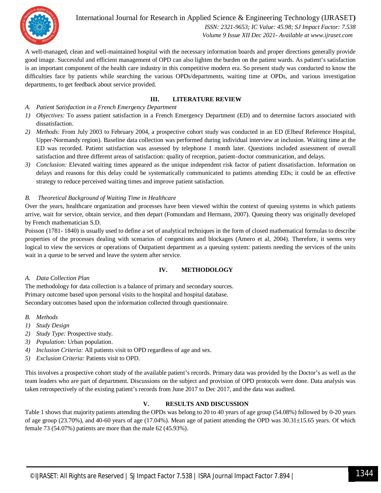

International Journal for Research in Applied Science & Engineering Technology (IJRASET**)**  *ISSN: 2321-9653; IC Value: 45.98; SJ Impact Factor: 7.538 Volume 9 Issue XII Dec 2021- Available at www.ijraset.com*

A well-managed, clean and well-maintained hospital with the necessary information boards and proper directions generally provide good image. Successful and efficient management of OPD can also lighten the burden on the patient wards. As patient's satisfaction is an important component of the health care industry in this competitive modern era. So present study was conducted to know the difficulties face by patients while searching the various OPDs/departments, waiting time at OPDs, and various investigation departments, to get feedback about service provided.

#### **III. LITERATURE REVIEW**

- *A. Patient Satisfaction in a French Emergency Department*
- *1) Objectives:* To assess patient satisfaction in a French Emergency Department (ED) and to determine factors associated with dissatisfaction.
- *2) Methods:* From July 2003 to February 2004, a prospective cohort study was conducted in an ED (Elbeuf Reference Hospital, Upper-Normandy region). Baseline data collection was performed during individual interview at inclusion. Waiting time at the ED was recorded. Patient satisfaction was assessed by telephone 1 month later. Questions included assessment of overall satisfaction and three different areas of satisfaction: quality of reception, patient–doctor communication, and delays.
- *3) Conclusion:* Elevated waiting times appeared as the unique independent risk factor of patient dissatisfaction. Information on delays and reasons for this delay could be systematically communicated to patients attending EDs; it could be an effective strategy to reduce perceived waiting times and improve patient satisfaction.

#### *B. Theoretical Background of Waiting Time in Healthcare*

Over the years, healthcare organization and processes have been viewed within the context of queuing systems in which patients arrive, wait for service, obtain service, and then depart (Fomundam and Hermann, 2007). Queuing theory was originally developed by French mathematician S.D.

Poisson (1781- 1840) is usually used to define a set of analytical techniques in the form of closed mathematical formulas to describe properties of the processes dealing with scenarios of congestions and blockages (Amero et al, 2004). Therefore, it seems very logical to view the services or operations of Outpatient department as a queuing system: patients needing the services of the units wait in a queue to be served and leave the system after service.

#### **IV. METHODOLOGY**

#### *A. Data Collection Plan*

The methodology for data collection is a balance of primary and secondary sources. Primary outcome based upon personal visits to the hospital and hospital database. Secondary outcomes based upon the information collected through questionnaire.

#### *B. Methods*

- *1) Study Design*
- *2) Study Type:* Prospective study.
- *3) Population:* Urban population.
- *4) Inclusion Criteria:* All patients visit to OPD regardless of age and sex.
- *5) Exclusion Criteria:* Patients visit to OPD.

This involves a prospective cohort study of the available patient's records. Primary data was provided by the Doctor's as well as the team leaders who are part of department. Discussions on the subject and provision of OPD protocols were done. Data analysis was taken retrospectively of the existing patient's records from June 2017 to Dec 2017, and the data was audited.

#### **V. RESULTS AND DISCUSSION**

Table 1 shows that majority patients attending the OPDs was belong to 20 to 40 years of age group (54.08%) followed by 0-20 years of age group (23.70%), and 40-60 years of age (17.04%). Mean age of patient attending the OPD was 30.31±15.65 years. Of which female 73 (54.07%) patients are more than the male 62 (45.93%).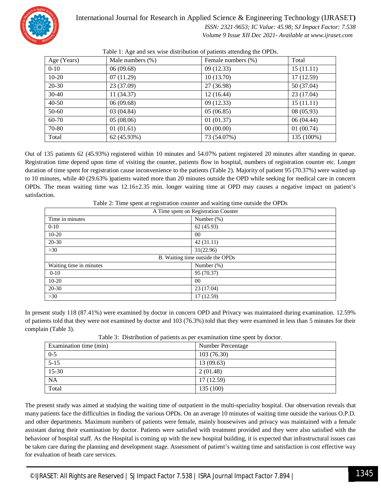

#### International Journal for Research in Applied Science & Engineering Technology (IJRASET**)**

 *ISSN: 2321-9653; IC Value: 45.98; SJ Impact Factor: 7.538 Volume 9 Issue XII Dec 2021- Available at www.ijraset.com*

Age (Years) Male numbers (%) Female numbers (%) Total  $0-10$   $06(09.68)$   $09(12.33)$   $15(11.11)$  $10-20$   $07(11.29)$   $10(13.70)$   $17(12.59)$ 20-30 23 (37.09) 27 (36.98) 50 (37.04) 30-40 11 (34.37) 12 (16.44) 23 (17.04)  $40-50$  06 (09.68) 09 (12.33) 15 (11.11) 50-60 03 (04.84) 05 (06.85) 08 (05.93) 60-70 05 (08.06) 01 (01.37) 06 (04.44)  $70-80$  01 (01.61) 00 (00.00) 00 (01.61) Total 62 (45.93%) 73 (54.07%) 135 (100%)

Table 1: Age and sex wise distribution of patients attending the OPDs.

Out of 135 patients 62 (45.93%) registered within 10 minutes and 54.07% patient registered 20 minutes after standing in queue. Registration time depend upon time of visiting the counter, patients flow in hospital, numbers of registration counter etc. Longer duration of time spent for registration cause inconvenience to the patients (Table 2). Majority of patient 95 (70.37%) were waited up to 10 minutes, while 40 (29.63% )patients waited more than 20 minutes outside the OPD while seeking for medical care in concern OPDs. The mean waiting time was 12.16±2.35 min. longer waiting time at OPD may causes a negative impact on patient's satisfaction.

Table 2: Time spent at registration counter and waiting time outside the OPDs

| A Time spent on Registration Counter |               |
|--------------------------------------|---------------|
| Time in minutes                      | Number $(\%)$ |
| $0 - 10$                             | 62(45.93)     |
| $10 - 20$                            | 00            |
| $20 - 30$                            | 42(31.11)     |
| $>30$                                | 31(22.96)     |
| B. Waiting time outside the OPDs     |               |
| Waiting time in minutes              | Number $(\%)$ |
| $0 - 10$                             | 95 (70.37)    |
| $10 - 20$                            | 00            |
| 20-30                                | 23 (17.04)    |
| >30                                  | 17(12.59)     |

In present study 118 (87.41%) were examined by doctor in concern OPD and Privacy was maintained during examination. 12.59% of patients told that they were not examined by doctor and 103 (76.3%) told that they were examined in less than 5 minutes for their complain (Table 3).

| Examination time (min) | Number Percentage |
|------------------------|-------------------|
| $0 - 5$                | 103(76.30)        |
| $5 - 15$               | 13(09.63)         |
| 15-30                  | 2(01.48)          |
| <b>NA</b>              | 17(12.59)         |
| Total                  | 135(100)          |

Table 3: Distribution of patients as per examination time spent by doctor.

The present study was aimed at studying the waiting time of outpatient in the multi-speciality hospital. Our observation reveals that many patients face the difficulties in finding the various OPDs. On an average 10 minutes of waiting time outside the various O.P.D. and other departments. Maximum numbers of patients were female, mainly housewives and privacy was maintained with a female assistant during their examination by doctor. Patients were satisfied with treatment provided and they were also satisfied with the behaviour of hospital staff. As the Hospital is coming up with the new hospital building, it is expected that infrastructural issues can be taken care during the planning and development stage. Assessment of patient's waiting time and satisfaction is cost effective way for evaluation of heath care services.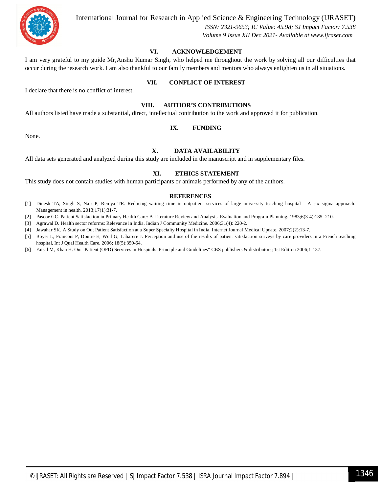

International Journal for Research in Applied Science & Engineering Technology (IJRASET**)**

 *ISSN: 2321-9653; IC Value: 45.98; SJ Impact Factor: 7.538 Volume 9 Issue XII Dec 2021- Available at www.ijraset.com*

#### **VI. ACKNOWLEDGEMENT**

I am very grateful to my guide Mr,Anshu Kumar Singh, who helped me throughout the work by solving all our difficulties that occur during the research work. I am also thankful to our family members and mentors who always enlighten us in all situations.

#### **VII. CONFLICT OF INTEREST**

I declare that there is no conflict of interest.

#### **VIII. AUTHOR'S CONTRIBUTIONS**

All authors listed have made a substantial, direct, intellectual contribution to the work and approved it for publication.

#### **IX. FUNDING**

None.

#### **X. DATA AVAILABILITY**

All data sets generated and analyzed during this study are included in the manuscript and in supplementary files.

#### **XI. ETHICS STATEMENT**

This study does not contain studies with human participants or animals performed by any of the authors.

#### **REFERENCES**

- [1] Dinesh TA, Singh S, Nair P, Remya TR. Reducing waiting time in outpatient services of large university teaching hospital A six sigma approach. Management in health. 2013;17(1):31-7.
- [2] Pascoe GC. Patient Satisfaction in Primary Health Care: A Literature Review and Analysis. Evaluation and Program Planning. 1983;6(3-4):185- 210.
- [3] Agrawal D. Health sector reforms: Relevance in India. Indian J Community Medicine. 2006;31(4): 220-2.
- [4] Jawahar SK. A Study on Out Patient Satisfaction at a Super Specialty Hospital in India. Internet Journal Medical Update. 2007;2(2):13-7.
- [5] Boyer L, Francois P, Doutre E, Weil G, Labarere J. Perception and use of the results of patient satisfaction surveys by care providers in a French teaching hospital, Int J Qual Health Care. 2006; 18(5):359-64.
- [6] Faisal M, Khan H. Out- Patient (OPD) Services in Hospitals. Principle and Guidelines" CBS publishers & distributors; 1st Edition 2006;1-137.